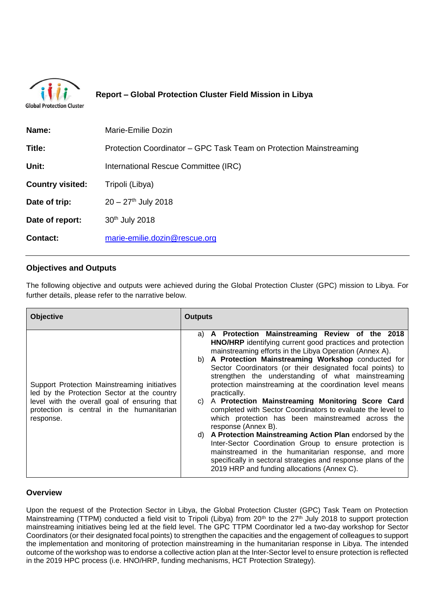

# **Report – Global Protection Cluster Field Mission in Libya**

|  | Global Protection Cluster |  |
|--|---------------------------|--|
|  |                           |  |

| Marie-Emilie Dozin                                                 |  |  |
|--------------------------------------------------------------------|--|--|
| Protection Coordinator – GPC Task Team on Protection Mainstreaming |  |  |
| International Rescue Committee (IRC)                               |  |  |
|                                                                    |  |  |
|                                                                    |  |  |
|                                                                    |  |  |
|                                                                    |  |  |
|                                                                    |  |  |

# **Objectives and Outputs**

The following objective and outputs were achieved during the Global Protection Cluster (GPC) mission to Libya. For further details, please refer to the narrative below.

| <b>Objective</b>                                                                                                                                                                                      | <b>Outputs</b>                                                                                                                                                                                                                                                                                                                                                                                                                                                                                                                                                                                                                                                                                                                                                                                                                                                                                                                            |
|-------------------------------------------------------------------------------------------------------------------------------------------------------------------------------------------------------|-------------------------------------------------------------------------------------------------------------------------------------------------------------------------------------------------------------------------------------------------------------------------------------------------------------------------------------------------------------------------------------------------------------------------------------------------------------------------------------------------------------------------------------------------------------------------------------------------------------------------------------------------------------------------------------------------------------------------------------------------------------------------------------------------------------------------------------------------------------------------------------------------------------------------------------------|
| Support Protection Mainstreaming initiatives<br>led by the Protection Sector at the country<br>level with the overall goal of ensuring that<br>protection is central in the humanitarian<br>response. | A Protection Mainstreaming Review of the 2018<br>a)<br>HNO/HRP identifying current good practices and protection<br>mainstreaming efforts in the Libya Operation (Annex A).<br>b) A Protection Mainstreaming Workshop conducted for<br>Sector Coordinators (or their designated focal points) to<br>strengthen the understanding of what mainstreaming<br>protection mainstreaming at the coordination level means<br>practically.<br>A Protection Mainstreaming Monitoring Score Card<br>C)<br>completed with Sector Coordinators to evaluate the level to<br>which protection has been mainstreamed across the<br>response (Annex B).<br>A Protection Mainstreaming Action Plan endorsed by the<br>d)<br>Inter-Sector Coordination Group to ensure protection is<br>mainstreamed in the humanitarian response, and more<br>specifically in sectoral strategies and response plans of the<br>2019 HRP and funding allocations (Annex C). |

## **Overview**

Upon the request of the Protection Sector in Libya, the Global Protection Cluster (GPC) Task Team on Protection Mainstreaming (TTPM) conducted a field visit to Tripoli (Libya) from 20<sup>th</sup> to the 27<sup>th</sup> July 2018 to support protection mainstreaming initiatives being led at the field level. The GPC TTPM Coordinator led a two-day workshop for Sector Coordinators (or their designated focal points) to strengthen the capacities and the engagement of colleagues to support the implementation and monitoring of protection mainstreaming in the humanitarian response in Libya. The intended outcome of the workshop was to endorse a collective action plan at the Inter-Sector level to ensure protection is reflected in the 2019 HPC process (i.e. HNO/HRP, funding mechanisms, HCT Protection Strategy).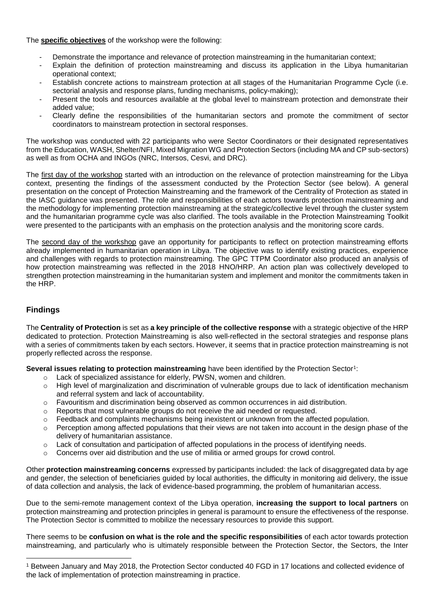The **specific objectives** of the workshop were the following:

- Demonstrate the importance and relevance of protection mainstreaming in the humanitarian context;
- Explain the definition of protection mainstreaming and discuss its application in the Libya humanitarian operational context;
- Establish concrete actions to mainstream protection at all stages of the Humanitarian Programme Cycle (i.e. sectorial analysis and response plans, funding mechanisms, policy-making);
- Present the tools and resources available at the global level to mainstream protection and demonstrate their added value;
- Clearly define the responsibilities of the humanitarian sectors and promote the commitment of sector coordinators to mainstream protection in sectoral responses.

The workshop was conducted with 22 participants who were Sector Coordinators or their designated representatives from the Education, WASH, Shelter/NFI, Mixed Migration WG and Protection Sectors (including MA and CP sub-sectors) as well as from OCHA and INGOs (NRC, Intersos, Cesvi, and DRC).

The first day of the workshop started with an introduction on the relevance of protection mainstreaming for the Libya context, presenting the findings of the assessment conducted by the Protection Sector (see below). A general presentation on the concept of Protection Mainstreaming and the framework of the Centrality of Protection as stated in the IASC guidance was presented. The role and responsibilities of each actors towards protection mainstreaming and the methodology for implementing protection mainstreaming at the strategic/collective level through the cluster system and the humanitarian programme cycle was also clarified. The tools available in the Protection Mainstreaming Toolkit were presented to the participants with an emphasis on the protection analysis and the monitoring score cards.

The second day of the workshop gave an opportunity for participants to reflect on protection mainstreaming efforts already implemented in humanitarian operation in Libya. The objective was to identify existing practices, experience and challenges with regards to protection mainstreaming. The GPC TTPM Coordinator also produced an analysis of how protection mainstreaming was reflected in the 2018 HNO/HRP. An action plan was collectively developed to strengthen protection mainstreaming in the humanitarian system and implement and monitor the commitments taken in the HRP.

# **Findings**

 $\overline{a}$ 

The **Centrality of Protection** is set as **a key principle of the collective response** with a strategic objective of the HRP dedicated to protection. Protection Mainstreaming is also well-reflected in the sectoral strategies and response plans with a series of commitments taken by each sectors. However, it seems that in practice protection mainstreaming is not properly reflected across the response.

Several issues relating to protection mainstreaming have been identified by the Protection Sector<sup>1</sup>:

- o Lack of specialized assistance for elderly, PWSN, women and children.
- o High level of marginalization and discrimination of vulnerable groups due to lack of identification mechanism and referral system and lack of accountability.
- o Favouritism and discrimination being observed as common occurrences in aid distribution.
- o Reports that most vulnerable groups do not receive the aid needed or requested.
- o Feedback and complaints mechanisms being inexistent or unknown from the affected population.
- $\circ$  Perception among affected populations that their views are not taken into account in the design phase of the delivery of humanitarian assistance.
- $\circ$  Lack of consultation and participation of affected populations in the process of identifying needs.
- $\circ$  Concerns over aid distribution and the use of militia or armed groups for crowd control.

Other **protection mainstreaming concerns** expressed by participants included: the lack of disaggregated data by age and gender, the selection of beneficiaries guided by local authorities, the difficulty in monitoring aid delivery, the issue of data collection and analysis, the lack of evidence-based programming, the problem of humanitarian access.

Due to the semi-remote management context of the Libya operation, **increasing the support to local partners** on protection mainstreaming and protection principles in general is paramount to ensure the effectiveness of the response. The Protection Sector is committed to mobilize the necessary resources to provide this support.

There seems to be **confusion on what is the role and the specific responsibilities** of each actor towards protection mainstreaming, and particularly who is ultimately responsible between the Protection Sector, the Sectors, the Inter

<sup>1</sup> Between January and May 2018, the Protection Sector conducted 40 FGD in 17 locations and collected evidence of the lack of implementation of protection mainstreaming in practice.